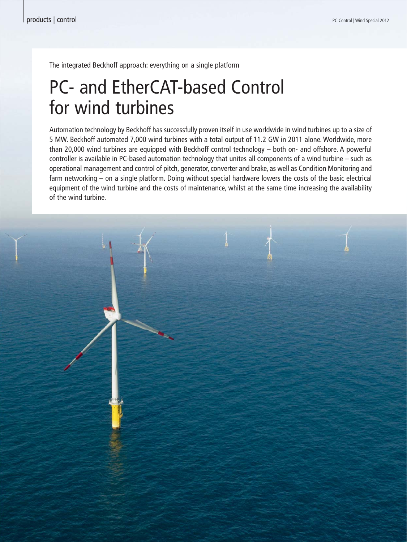The integrated Beckhoff approach: everything on a single platform

# PC- and EtherCAT-based Control for wind turbines

Automation technology by Beckhoff has successfully proven itself in use worldwide in wind turbines up to a size of 5 MW. Beckhoff automated 7,000 wind turbines with a total output of 11.2 GW in 2011 alone. Worldwide, more than 20,000 wind turbines are equipped with Beckhoff control technology – both on- and offshore. A powerful controller is available in PC-based automation technology that unites all components of a wind turbine – such as operational management and control of pitch, generator, converter and brake, as well as Condition Monitoring and farm networking – on a single platform. Doing without special hardware lowers the costs of the basic electrical equipment of the wind turbine and the costs of maintenance, whilst at the same time increasing the availability of the wind turbine.

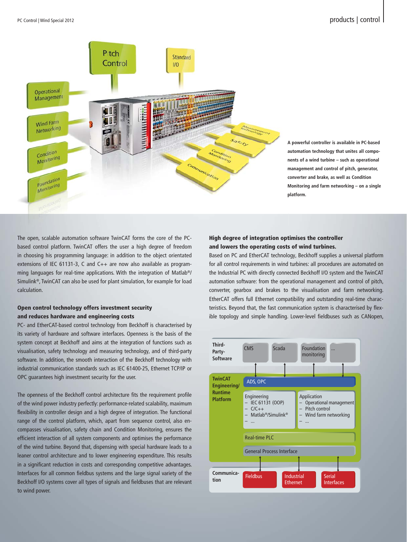

**A powerful controller is available in PC-based A automation technology that unites all compo-a nents of a wind turbine – such as operational n management and control of pitch, generator, m converter and brake, as well as Condition c Monitoring and farm networking – on a single M platform. p**

The open, scalable automation software TwinCAT forms the core of the PCbased control platform. TwinCAT offers the user a high degree of freedom in choosing his programming language: in addition to the object orientated extensions of IEC 61131-3, C and C++ are now also available as programming languages for real-time applications. With the integration of Matlab®/ Simulink®, TwinCAT can also be used for plant simulation, for example for load calculation.

### Open control technology offers investment security and reduces hardware and engineering costs

PC- and EtherCAT-based control technology from Beckhoff is characterised by its variety of hardware and software interfaces. Openness is the basis of the system concept at Beckhoff and aims at the integration of functions such as visualisation, safety technology and measuring technology, and of third-party software. In addition, the smooth interaction of the Beckhoff technology with industrial communication standards such as IEC 61400-25, Ethernet TCP/IP or OPC guarantees high investment security for the user.

The openness of the Beckhoff control architecture fits the requirement profile of the wind power industry perfectly: performance-related scalability, maximum flexibility in controller design and a high degree of integration. The functional range of the control platform, which, apart from sequence control, also encompasses visualisation, safety chain and Condition Monitoring, ensures the efficient interaction of all system components and optimises the performance of the wind turbine. Beyond that, dispensing with special hardware leads to a leaner control architecture and to lower engineering expenditure. This results in a significant reduction in costs and corresponding competitive advantages. Interfaces for all common fieldbus systems and the large signal variety of the Beckhoff I/O systems cover all types of signals and fieldbuses that are relevant to wind power.

### High degree of integration optimises the controller and lowers the operating costs of wind turbines.

Based on PC and EtherCAT technology, Beckhoff supplies a universal platform for all control requirements in wind turbines: all procedures are automated on the Industrial PC with directly connected Beckhoff I/O system and the TwinCAT automation software: from the operational management and control of pitch, converter, gearbox and brakes to the visualisation and farm networking. EtherCAT offers full Ethernet compatibility and outstanding real-time characteristics. Beyond that, the fast communication system is characterised by flexible topology and simple handling. Lower-level fieldbuses such as CANopen,

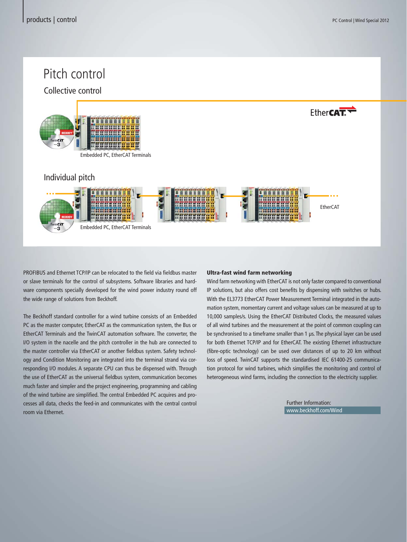Fther**CAT.** 

## Pitch control

Collective control



Embedded PC, EtherCAT Terminals

### Individual pitch



PROFIBUS and Ethernet TCP/IP can be relocated to the field via fieldbus master or slave terminals for the control of subsystems. Software libraries and hardware components specially developed for the wind power industry round off the wide range of solutions from Beckhoff.

The Beckhoff standard controller for a wind turbine consists of an Embedded PC as the master computer, EtherCAT as the communication system, the Bus or EtherCAT Terminals and the TwinCAT automation software. The converter, the I/O system in the nacelle and the pitch controller in the hub are connected to the master controller via EtherCAT or another fieldbus system. Safety technology and Condition Monitoring are integrated into the terminal strand via corresponding I/O modules. A separate CPU can thus be dispensed with. Through the use of EtherCAT as the universal fieldbus system, communication becomes much faster and simpler and the project engineering, programming and cabling of the wind turbine are simplified. The central Embedded PC acquires and processes all data, checks the feed-in and communicates with the central control room via Ethernet.

#### Ultra-fast wind farm networking

Wind farm networking with EtherCAT is not only faster compared to conventional IP solutions, but also offers cost benefits by dispensing with switches or hubs. With the EL3773 EtherCAT Power Measurement Terminal integrated in the automation system, momentary current and voltage values can be measured at up to 10,000 samples/s. Using the EtherCAT Distributed Clocks, the measured values of all wind turbines and the measurement at the point of common coupling can be synchronised to a timeframe smaller than 1 μs. The physical layer can be used for both Ethernet TCP/IP and for EtherCAT. The existing Ethernet infrastructure (fibre-optic technology) can be used over distances of up to 20 km without loss of speed. TwinCAT supports the standardised IEC 61400-25 communication protocol for wind turbines, which simplifies the monitoring and control of heterogeneous wind farms, including the connection to the electricity supplier.

> Further Information: www.beckhoff.com/Wind